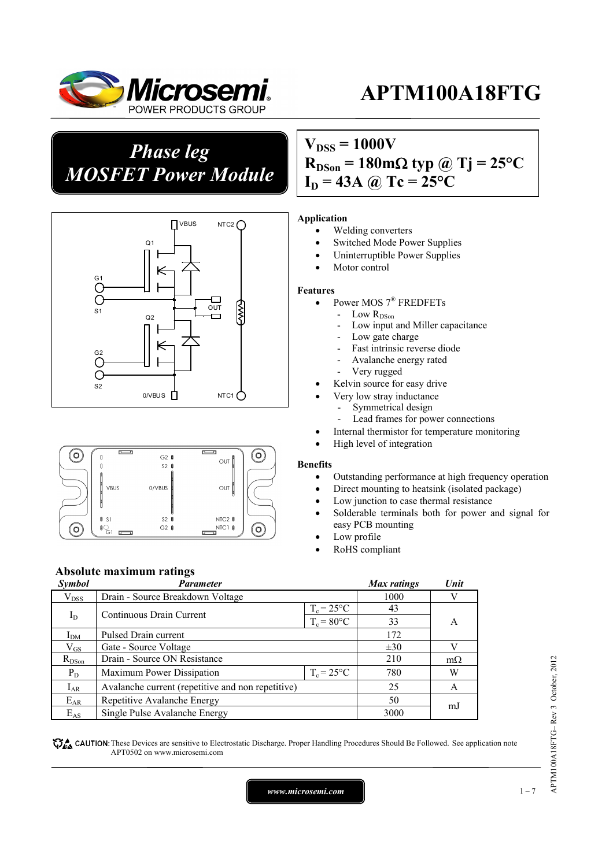

*Phase leg MOSFET Power Module*





# $V_{DSS} = 1000V$  $R_{DSon} = 180 \text{m}\Omega \text{ typ } @ \text{Tj} = 25 \text{°C}$  $I_D = 43A$  @ Tc = 25<sup>o</sup>C

#### **Application**

- Welding converters
- Switched Mode Power Supplies
- Uninterruptible Power Supplies
- Motor control

#### **Features**

- Power MOS 7® FREDFETs
	- Low R<sub>DSon</sub>
		- Low input and Miller capacitance
		- Low gate charge
		- Fast intrinsic reverse diode
		- Avalanche energy rated
		- Very rugged
	- Kelvin source for easy drive
	- Very low stray inductance
		- Symmetrical design
		- Lead frames for power connections
	- Internal thermistor for temperature monitoring
	- High level of integration

#### **Benefits**

- Outstanding performance at high frequency operation
- Direct mounting to heatsink (isolated package)
- Low junction to case thermal resistance
- Solderable terminals both for power and signal for easy PCB mounting
- Low profile
- RoHS compliant

### **Absolute maximum ratings**

| Symbol        | <b>Parameter</b>                                  |                     | Max ratings | Unit      |
|---------------|---------------------------------------------------|---------------------|-------------|-----------|
| $\rm V_{DSS}$ | Drain - Source Breakdown Voltage                  |                     | 1000        |           |
|               |                                                   | $T_c = 25^{\circ}C$ | 43          |           |
|               | Continuous Drain Current<br>$I_D$                 | $T_c = 80$ °C       | 33          | A         |
| $I_{DM}$      | Pulsed Drain current                              |                     |             |           |
| $\rm V_{GS}$  | Gate - Source Voltage                             |                     | $\pm 30$    | V         |
| $R_{DSon}$    | Drain - Source ON Resistance                      |                     | 210         | $m\Omega$ |
| $P_D$         | $T_c = 25^{\circ}C$<br>Maximum Power Dissipation  |                     | 780         | W         |
| $I_{AR}$      | Avalanche current (repetitive and non repetitive) |                     | 25          | A         |
| $E_{AR}$      | Repetitive Avalanche Energy                       |                     | 50          | mJ        |
| $E_{AS}$      | Single Pulse Avalanche Energy                     |                     | 3000        |           |

CAUTION: These Devices are sensitive to Electrostatic Discharge. Proper Handling Procedures Should Be Followed. See application note APT0502 on www.microsemi.com

*www.microsemi.com* 1-7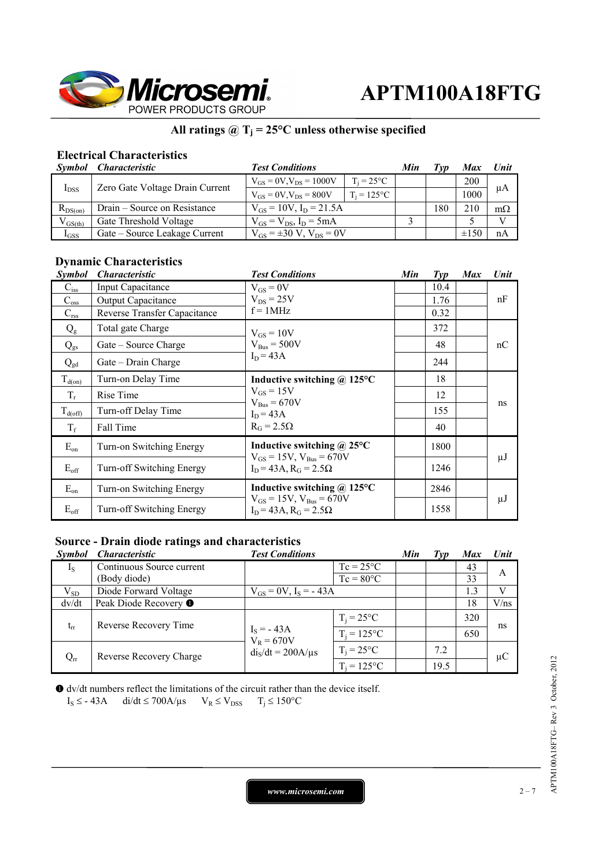

## **All ratings @ Tj = 25°C unless otherwise specified**

# **Electrical Characteristics**

|              | Symbol Characteristic           | <b>Test Conditions</b>              |                     | Min | Tvp | Max        | Unit      |
|--------------|---------------------------------|-------------------------------------|---------------------|-----|-----|------------|-----------|
| $I_{DSS}$    | Zero Gate Voltage Drain Current | $V_{GS} = 0V$ , $V_{DS} = 1000V$    | $T_i = 25^{\circ}C$ |     |     | <b>200</b> | μA        |
|              |                                 | $V_{GS} = 0V$ , $V_{DS} = 800V$     | $T_i = 125$ °C      |     |     | 1000       |           |
| $R_{DS(on)}$ | Drain – Source on Resistance    | $V_{GS} = 10V$ , $I_D = 21.5A$      |                     |     | 180 | 210        | $m\Omega$ |
| $V_{GS(th)}$ | Gate Threshold Voltage          | $V_{GS} = V_{DS}$ , $I_D = 5mA$     |                     |     |     |            | V         |
| $I_{GSS}$    | Gate – Source Leakage Current   | $V_{GS} = \pm 30 V$ , $V_{DS} = 0V$ |                     |     |     | $\pm 150$  | nA        |

# **Dynamic Characteristics**

| <i>Symbol</i> | <i><b>Characteristic</b></i> | <b>Test Conditions</b>                                                        | Min | $\mathcal{I}yp$ | <b>Max</b> | Unit    |
|---------------|------------------------------|-------------------------------------------------------------------------------|-----|-----------------|------------|---------|
| $C_{iss}$     | <b>Input Capacitance</b>     | $V_{GS} = 0V$                                                                 |     | 10.4            |            | nF      |
| $C_{\rm oss}$ | <b>Output Capacitance</b>    | $V_{DS}$ = 25V                                                                |     | 1.76            |            |         |
| $C_{\rm rss}$ | Reverse Transfer Capacitance | $f = 1MHz$                                                                    |     | 0.32            |            |         |
| $Q_{\rm g}$   | Total gate Charge            | $V_{GS} = 10V$                                                                |     | 372             |            |         |
| $Q_{gs}$      | Gate – Source Charge         | $V_{\text{Bus}} = 500V$                                                       |     | 48              |            | nC      |
| $Q_{gd}$      | Gate – Drain Charge          | $I_D = 43A$                                                                   |     | 244             |            |         |
| $T_{d(0n)}$   | Turn-on Delay Time           | Inductive switching @ 125°C                                                   |     | 18              |            | ns      |
| $T_r$         | Rise Time                    | $V_{GS} = 15V$<br>$V_{\text{Bus}} = 670V$<br>$I_D = 43A$<br>$R_G = 2.5\Omega$ |     | 12              |            |         |
| $T_{d(off)}$  | Turn-off Delay Time          |                                                                               |     | 155             |            |         |
| $T_f$         | Fall Time                    |                                                                               |     | 40              |            |         |
| $E_{on}$      | Turn-on Switching Energy     | Inductive switching $\omega$ 25°C                                             |     | 1800            |            |         |
| $E_{\rm off}$ | Turn-off Switching Energy    | $V_{GS} = 15V$ , $V_{Bus} = 670V$<br>$I_D = 43A$ , $R_G = 2.5\Omega$          |     | 1246            |            | $\mu$ J |
| $E_{on}$      | Turn-on Switching Energy     | Inductive switching $\omega$ 125°C                                            |     | 2846            |            |         |
| $E_{\rm off}$ | Turn-off Switching Energy    | $V_{GS} = 15V$ , $V_{Bus} = 670V$<br>$I_D = 43A$ , $R_G = 2.5\Omega$          |     | 1558            |            | μJ      |

### **Source - Drain diode ratings and characteristics**

| <i>Symbol</i> | <i><b>Characteristic</b></i> | <b>Test Conditions</b>       |                     | Min | Type | <b>Max</b> | <b>Unit</b> |
|---------------|------------------------------|------------------------------|---------------------|-----|------|------------|-------------|
| $I_{S}$       | Continuous Source current    |                              | $Tc = 25^{\circ}C$  |     |      | 43         | A           |
|               | (Body diode)                 |                              | $Tc = 80^{\circ}C$  |     |      | 33         |             |
| $V_{SD}$      | Diode Forward Voltage        | $V_{GS} = 0V$ , $I_S = -43A$ |                     |     |      | 1.3        | V           |
| dv/dt         | Peak Diode Recovery ●        |                              |                     |     |      | 18         | V/ns        |
| $t_{rr}$      | Reverse Recovery Time        |                              | $T_i = 25^{\circ}C$ |     |      | 320        | ns          |
|               |                              | $I_S = -43A$<br>$V_R = 670V$ | $T_i = 125$ °C      |     |      | 650        |             |
| $Q_{rr}$      | Reverse Recovery Charge      | $diS/dt = 200A/\mu s$        | $T_i = 25$ °C       |     | 7.2  |            | $\mu$ C     |
|               |                              |                              | $T_i = 125$ °C      |     | 19.5 |            |             |

 dv/dt numbers reflect the limitations of the circuit rather than the device itself.  $I_S \leq -43A$  di/dt  $\leq 700A/\mu s$   $V_R \leq V_{DSS}$   $T_i \leq 150^{\circ}C$ 

*www.microsemi.com* 2-7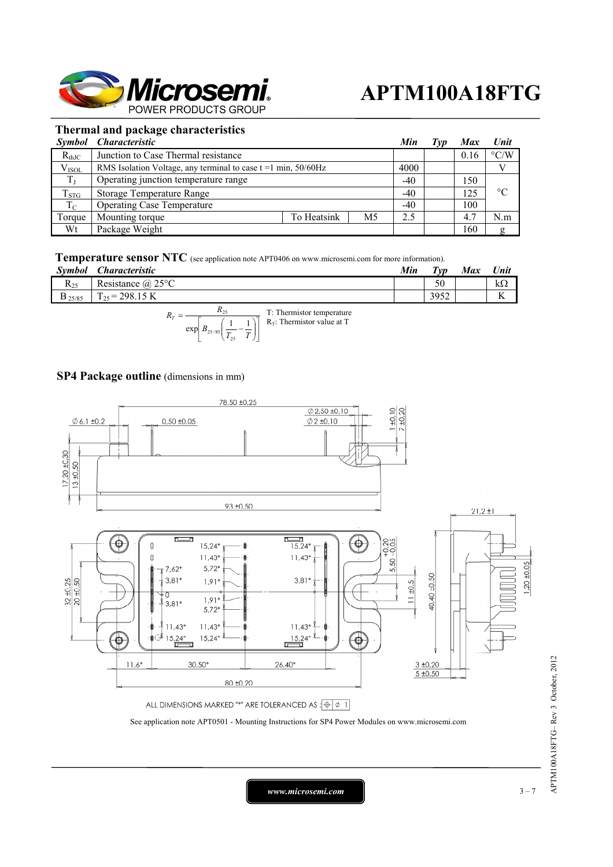

### **Thermal and package characteristics**

|                | Symbol Characteristic                                            |             | Min | T vp  | Max | Unit |                    |
|----------------|------------------------------------------------------------------|-------------|-----|-------|-----|------|--------------------|
| $R_{thJC}$     | Junction to Case Thermal resistance                              |             |     |       |     | 0.16 | $\rm ^{\circ}$ C/W |
| $\rm V_{ISOL}$ | RMS Isolation Voltage, any terminal to case $t = 1$ min, 50/60Hz |             |     | 4000  |     |      |                    |
| $T_{L}$        | Operating junction temperature range                             |             |     | $-40$ |     | 150  |                    |
| $T_{STG}$      | Storage Temperature Range                                        |             |     | $-40$ |     | 125  | $\rm ^{\circ}C$    |
| $T_{\rm C}$    | <b>Operating Case Temperature</b>                                |             |     | $-40$ |     | 100  |                    |
| Torque         | Mounting torque                                                  | To Heatsink | M5  | 2.5   |     | 4.7  | N.m                |
| Wt             | Package Weight                                                   |             |     |       |     | 160  | g                  |

#### **Temperature sensor NTC** (see application note APT0406 on www.microsemi.com for more information).

| Symbol       | Characteristic        | Min | $T_{VD}$ | <b>Max</b> | Unit                |
|--------------|-----------------------|-----|----------|------------|---------------------|
| $\rm R_{25}$ | Resistance $(a)$ 25°C |     | 50       |            | kΩ                  |
| $D$ 25/85    | $E_5 = 298.15$ K      |     | 3952     |            | $\overline{V}$<br>A |
|              | $\sim$                |     |          |            |                     |

$$
= \frac{R_{25}}{\exp\left[B_{25/85}\left(\frac{1}{T_{25}} - \frac{1}{T}\right)\right]}
$$
 T: Thermistor temperature

### **SP4 Package outline** (dimensions in mm)

 $R_T$ 



*www.microsemi.com* 1 and 2 = 7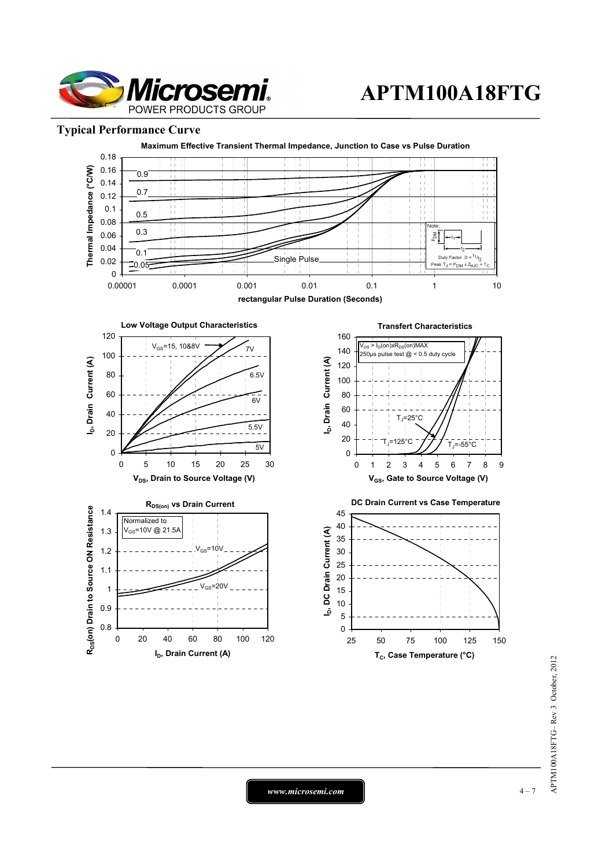

### **Typical Performance Curve**



*www.microsemi.com*  $\vert$  **4-7**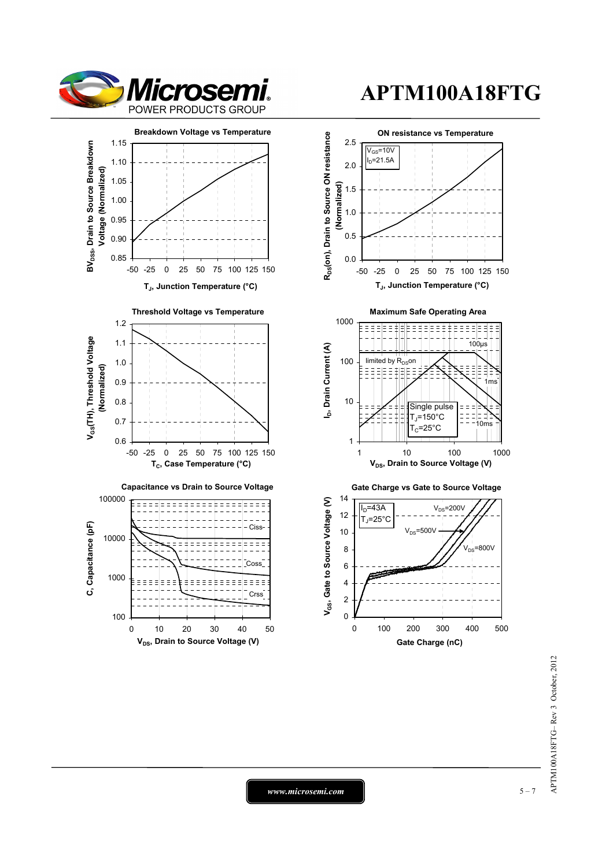



0 10 20 30 40 50 **V<sub>DS</sub>**, Drain to Source Voltage (V)

100

# **APTM100A18FTG**



*www.microsemi.com* **a**  $5 - 7$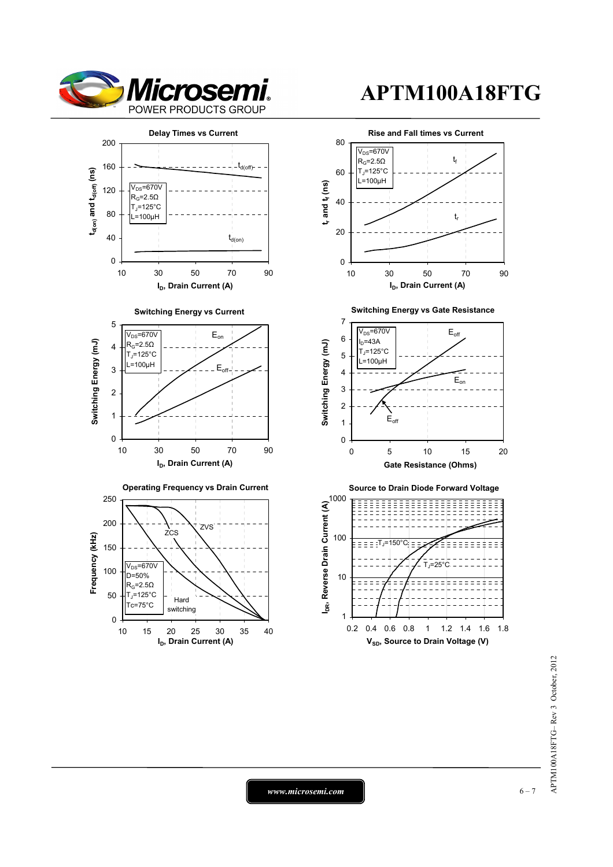



APTM100A18FTG-Rev 3 October, 2012 APTM100A18FTG– Rev 3 October, 2012

*www.microsemi.com* **c** 6-7